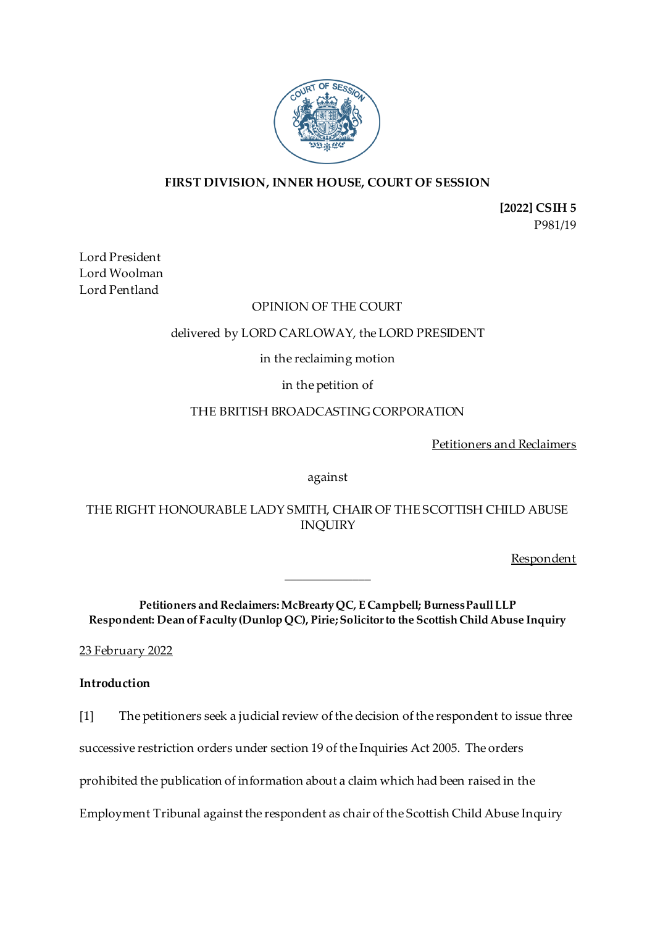

# **FIRST DIVISION, INNER HOUSE, COURT OF SESSION**

**[2022] CSIH 5** P981/19

Lord President Lord Woolman Lord Pentland

### OPINION OF THE COURT

### delivered by LORD CARLOWAY, the LORD PRESIDENT

# in the reclaiming motion

# in the petition of

# THE BRITISH BROADCASTING CORPORATION

Petitioners and Reclaimers

against

THE RIGHT HONOURABLE LADY SMITH, CHAIR OF THE SCOTTISH CHILD ABUSE INQUIRY

**Respondent** 

**Petitioners and Reclaimers: McBrearty QC, E Campbell; Burness Paull LLP Respondent: Dean of Faculty (Dunlop QC), Pirie; Solicitor to the Scottish Child Abuse Inquiry**

\_\_\_\_\_\_\_\_\_\_\_\_\_\_

23 February 2022

### **Introduction**

[1] The petitioners seek a judicial review of the decision of the respondent to issue three

successive restriction orders under section 19 of the Inquiries Act 2005. The orders

prohibited the publication of information about a claim which had been raised in the

Employment Tribunal against the respondent as chair of the Scottish Child Abuse Inquiry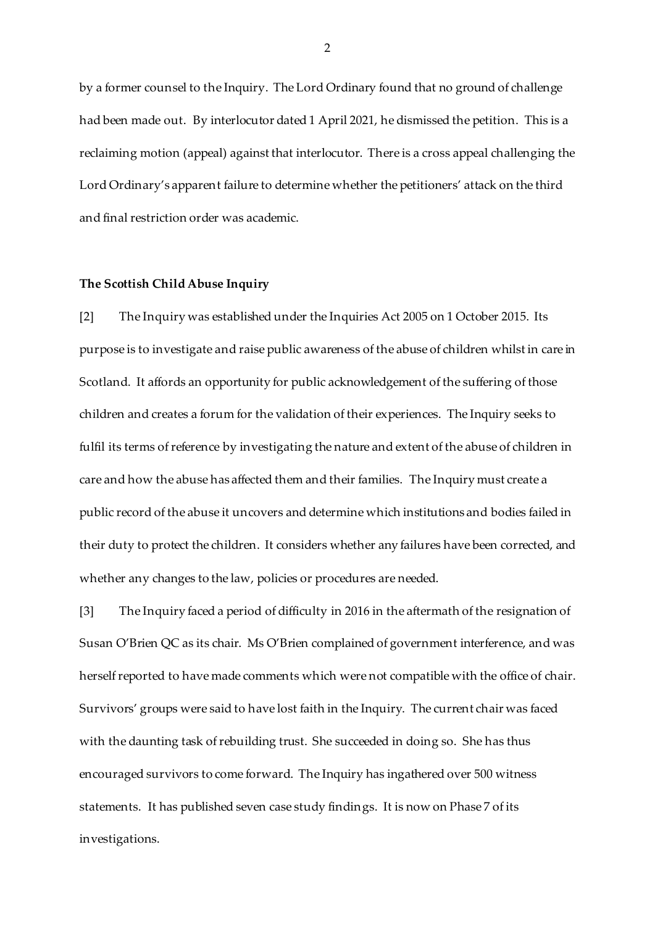by a former counsel to the Inquiry. The Lord Ordinary found that no ground of challenge had been made out. By interlocutor dated 1 April 2021, he dismissed the petition. This is a reclaiming motion (appeal) against that interlocutor. There is a cross appeal challenging the Lord Ordinary's apparent failure to determine whether the petitioners' attack on the third and final restriction order was academic.

### **The Scottish Child Abuse Inquiry**

[2] The Inquiry was established under the Inquiries Act 2005 on 1 October 2015. Its purpose is to investigate and raise public awareness of the abuse of children whilst in care in Scotland. It affords an opportunity for public acknowledgement of the suffering of those children and creates a forum for the validation of their experiences. The Inquiry seeks to fulfil its terms of reference by investigating the nature and extent of the abuse of children in care and how the abuse has affected them and their families. The Inquiry must create a public record of the abuse it uncovers and determine which institutions and bodies failed in their duty to protect the children. It considers whether any failures have been corrected, and whether any changes to the law, policies or procedures are needed.

[3] The Inquiry faced a period of difficulty in 2016 in the aftermath of the resignation of Susan O'Brien QC as its chair. Ms O'Brien complained of government interference, and was herself reported to have made comments which were not compatible with the office of chair. Survivors' groups were said to have lost faith in the Inquiry. The current chair was faced with the daunting task of rebuilding trust. She succeeded in doing so. She has thus encouraged survivors to come forward. The Inquiry has ingathered over 500 witness statements. It has published seven case study findings. It is now on Phase 7 of its investigations.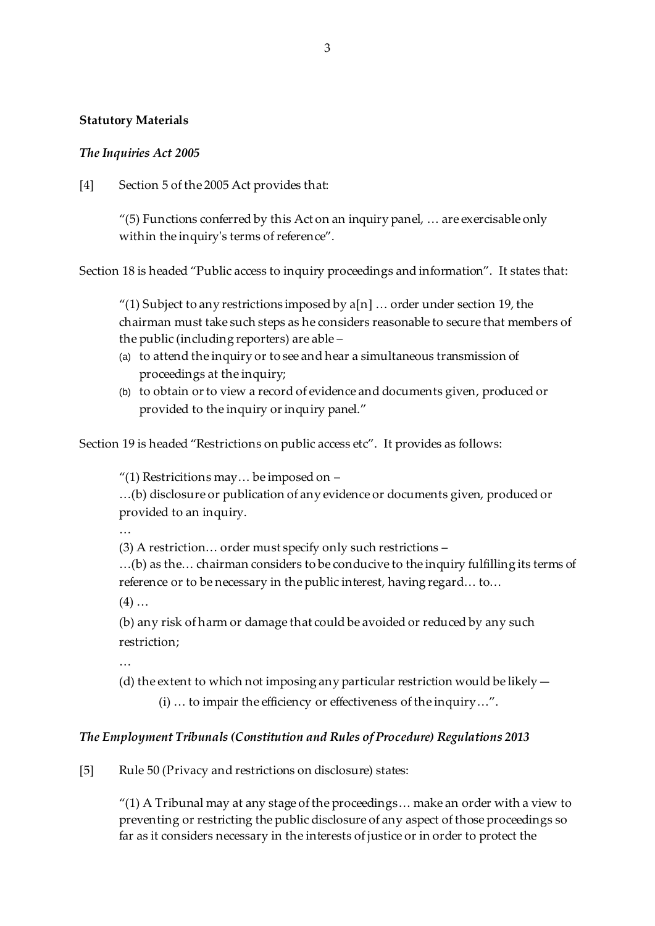### **Statutory Materials**

### *The Inquiries Act 2005*

[4] Section 5 of the 2005 Act provides that:

 $''(5)$  Functions conferred by this Act on an inquiry panel,  $\dots$  are exercisable only within the inquiry's terms of reference".

Section 18 is headed "Public access to inquiry proceedings and information". It states that:

"(1) Subject to any restrictions imposed by  $a[n]$  ... order under section 19, the chairman must take such steps as he considers reasonable to secure that members of the public (including reporters) are able –

- (a) to attend the inquiry or to see and hear a simultaneous transmission of proceedings at the inquiry;
- (b) to obtain or to view a record of evidence and documents given, produced or provided to the inquiry or inquiry panel."

Section 19 is headed "Restrictions on public access etc". It provides as follows:

"(1) Restricitions may… be imposed on –

…(b) disclosure or publication of any evidence or documents given, produced or provided to an inquiry.

…

(3) A restriction… order must specify only such restrictions –

…(b) as the… chairman considers to be conducive to the inquiry fulfilling its terms of reference or to be necessary in the public interest, having regard… to…

 $(4)$  ...

(b) any risk of harm or damage that could be avoided or reduced by any such restriction;

…

(d) the extent to which not imposing any particular restriction would be likely  $-$ 

(i) … to impair the efficiency or effectiveness of the inquiry…".

# *The Employment Tribunals (Constitution and Rules of Procedure) Regulations 2013*

[5] Rule 50 (Privacy and restrictions on disclosure) states:

"(1) A Tribunal may at any stage of the proceedings… make an order with a view to preventing or restricting the public disclosure of any aspect of those proceedings so far as it considers necessary in the interests of justice or in order to protect the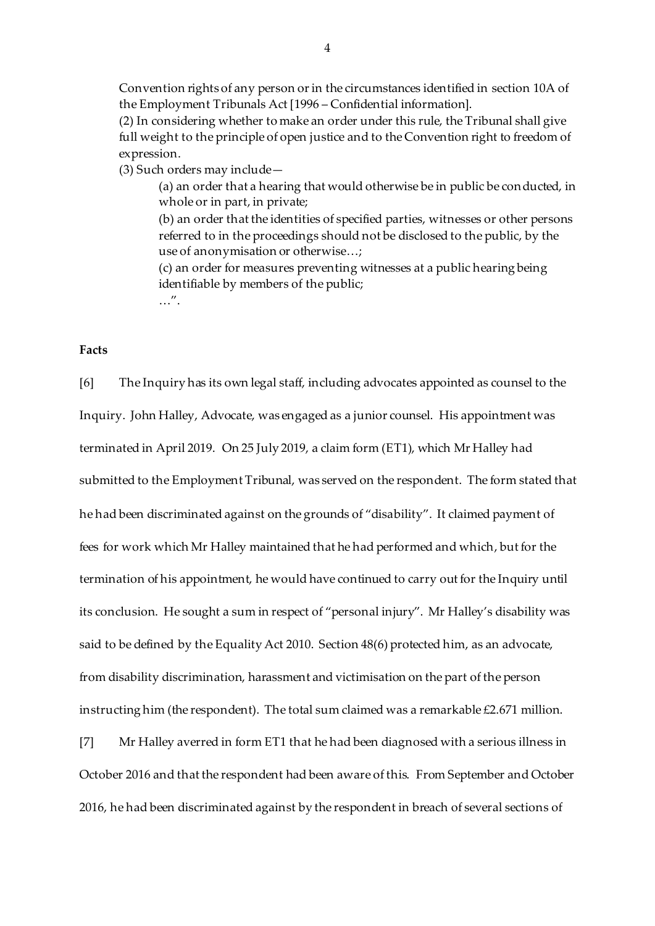Convention rights of any person or in the circumstances identified in section 10A of the Employment Tribunals Act [1996 – Confidential information].

(2) In considering whether to make an order under this rule, the Tribunal shall give full weight to the principle of open justice and to the Convention right to freedom of expression.

(3) Such orders may include—

(a) an order that a hearing that would otherwise be in public be conducted, in whole or in part, in private;

(b) an order that the identities of specified parties, witnesses or other persons referred to in the proceedings should not be disclosed to the public, by the use of anonymisation or otherwise…;

(c) an order for measures preventing witnesses at a public hearing being identifiable by members of the public; …".

**Facts**

[6] The Inquiry has its own legal staff, including advocates appointed as counsel to the Inquiry. John Halley, Advocate, was engaged as a junior counsel. His appointment was terminated in April 2019. On 25 July 2019, a claim form (ET1), which Mr Halley had submitted to the Employment Tribunal, was served on the respondent. The form stated that he had been discriminated against on the grounds of "disability". It claimed payment of fees for work which Mr Halley maintained that he had performed and which, but for the termination of his appointment, he would have continued to carry out for the Inquiry until its conclusion. He sought a sum in respect of "personal injury". Mr Halley's disability was said to be defined by the Equality Act 2010. Section 48(6) protected him, as an advocate, from disability discrimination, harassment and victimisation on the part of the person instructing him (the respondent). The total sum claimed was a remarkable £2.671 million.

[7] Mr Halley averred in form ET1 that he had been diagnosed with a serious illness in October 2016 and that the respondent had been aware of this. From September and October 2016, he had been discriminated against by the respondent in breach of several sections of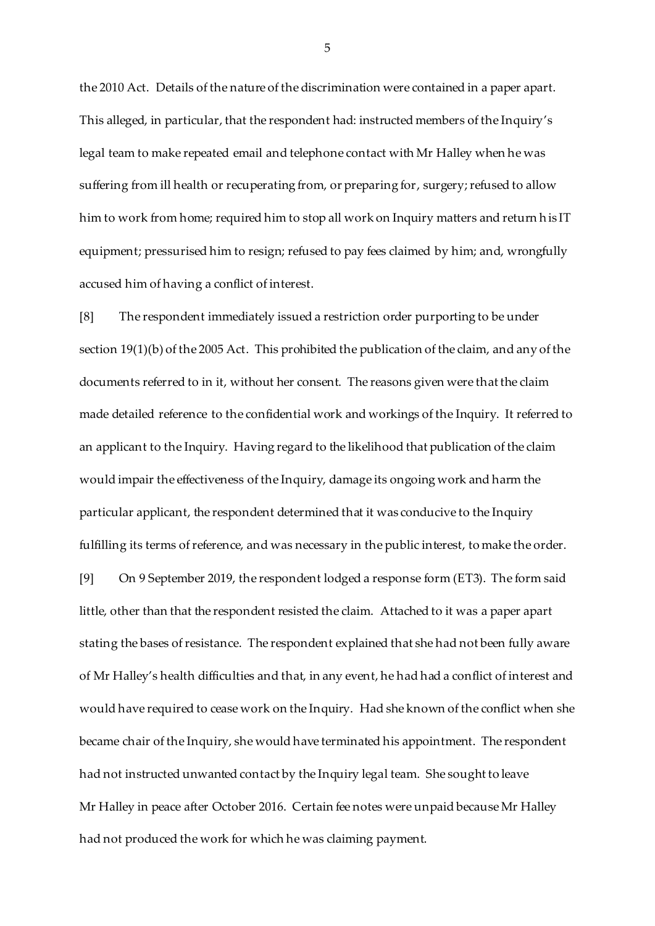the 2010 Act. Details of the nature of the discrimination were contained in a paper apart. This alleged, in particular, that the respondent had: instructed members of the Inquiry's legal team to make repeated email and telephone contact with Mr Halley when he was suffering from ill health or recuperating from, or preparing for, surgery; refused to allow him to work from home; required him to stop all work on Inquiry matters and return his IT equipment; pressurised him to resign; refused to pay fees claimed by him; and, wrongfully accused him of having a conflict of interest.

[8] The respondent immediately issued a restriction order purporting to be under section 19(1)(b) of the 2005 Act. This prohibited the publication of the claim, and any of the documents referred to in it, without her consent. The reasons given were that the claim made detailed reference to the confidential work and workings of the Inquiry. It referred to an applicant to the Inquiry. Having regard to the likelihood that publication of the claim would impair the effectiveness of the Inquiry, damage its ongoing work and harm the particular applicant, the respondent determined that it was conducive to the Inquiry fulfilling its terms of reference, and was necessary in the public interest, to make the order.

[9] On 9 September 2019, the respondent lodged a response form (ET3). The form said little, other than that the respondent resisted the claim. Attached to it was a paper apart stating the bases of resistance. The respondent explained that she had not been fully aware of Mr Halley's health difficulties and that, in any event, he had had a conflict of interest and would have required to cease work on the Inquiry. Had she known of the conflict when she became chair of the Inquiry, she would have terminated his appointment. The respondent had not instructed unwanted contact by the Inquiry legal team. She sought to leave Mr Halley in peace after October 2016. Certain fee notes were unpaid because Mr Halley had not produced the work for which he was claiming payment.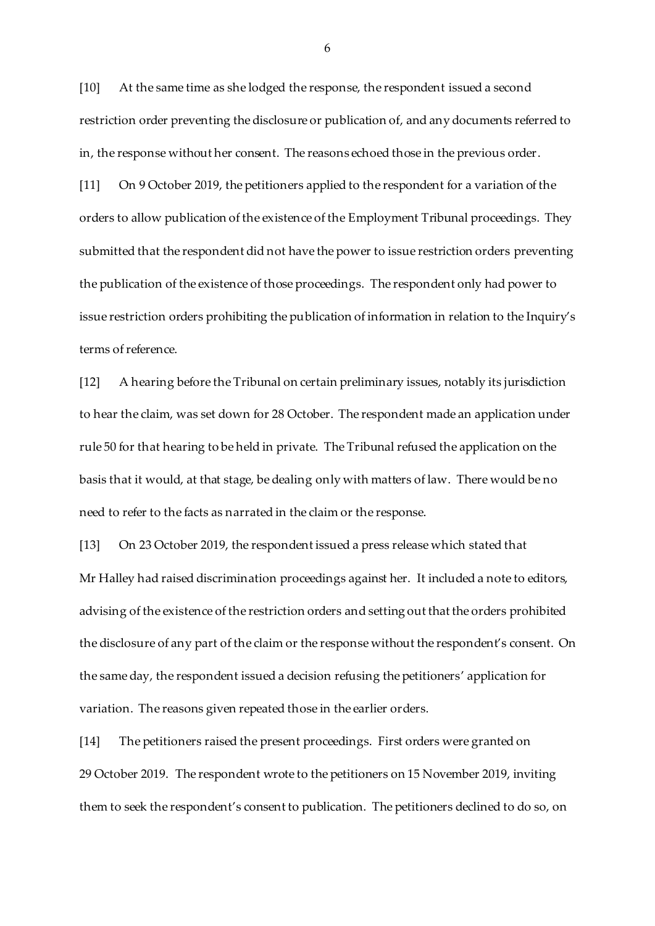[10] At the same time as she lodged the response, the respondent issued a second restriction order preventing the disclosure or publication of, and any documents referred to in, the response without her consent. The reasons echoed those in the previous order.

[11] On 9 October 2019, the petitioners applied to the respondent for a variation of the orders to allow publication of the existence of the Employment Tribunal proceedings. They submitted that the respondent did not have the power to issue restriction orders preventing the publication of the existence of those proceedings. The respondent only had power to issue restriction orders prohibiting the publication of information in relation to the Inquiry's terms of reference.

[12] A hearing before the Tribunal on certain preliminary issues, notably its jurisdiction to hear the claim, was set down for 28 October. The respondent made an application under rule 50 for that hearing to be held in private. The Tribunal refused the application on the basis that it would, at that stage, be dealing only with matters of law. There would be no need to refer to the facts as narrated in the claim or the response.

[13] On 23 October 2019, the respondent issued a press release which stated that Mr Halley had raised discrimination proceedings against her. It included a note to editors, advising of the existence of the restriction orders and setting out that the orders prohibited the disclosure of any part of the claim or the response without the respondent's consent. On the same day, the respondent issued a decision refusing the petitioners' application for variation. The reasons given repeated those in the earlier orders.

[14] The petitioners raised the present proceedings. First orders were granted on 29 October 2019. The respondent wrote to the petitioners on 15 November 2019, inviting them to seek the respondent's consent to publication. The petitioners declined to do so, on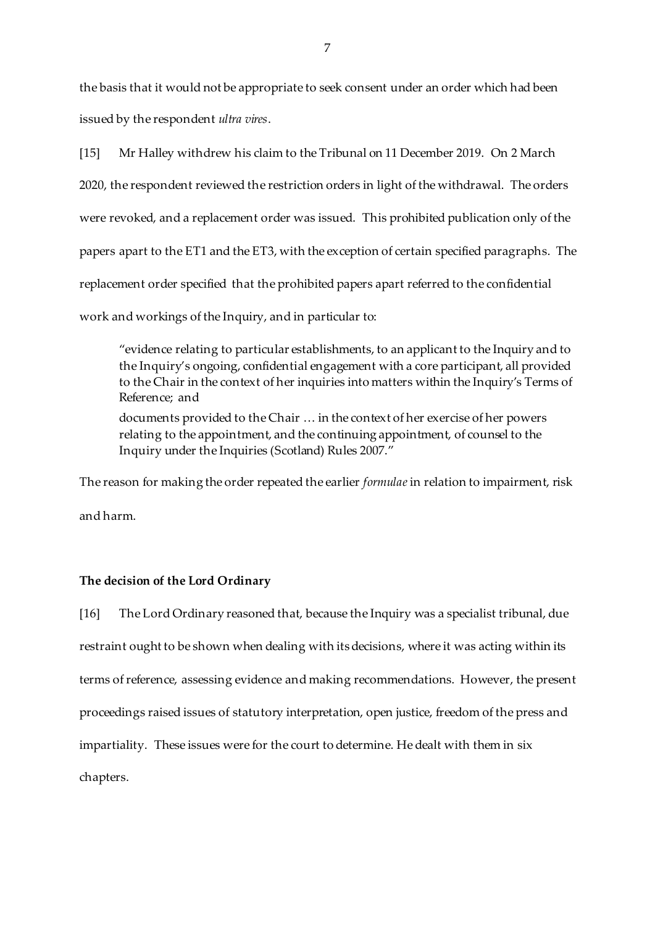the basis that it would not be appropriate to seek consent under an order which had been issued by the respondent *ultra vires*.

[15] Mr Halley withdrew his claim to the Tribunal on 11 December 2019. On 2 March 2020, the respondent reviewed the restriction orders in light of the withdrawal. The orders were revoked, and a replacement order was issued. This prohibited publication only of the papers apart to the ET1 and the ET3, with the exception of certain specified paragraphs. The replacement order specified that the prohibited papers apart referred to the confidential work and workings of the Inquiry, and in particular to:

"evidence relating to particular establishments, to an applicant to the Inquiry and to the Inquiry's ongoing, confidential engagement with a core participant, all provided to the Chair in the context of her inquiries into matters within the Inquiry's Terms of Reference; and

documents provided to the Chair … in the context of her exercise of her powers relating to the appointment, and the continuing appointment, of counsel to the Inquiry under the Inquiries (Scotland) Rules 2007."

The reason for making the order repeated the earlier *formulae*in relation to impairment, risk and harm.

### **The decision of the Lord Ordinary**

[16] The Lord Ordinary reasoned that, because the Inquiry was a specialist tribunal, due restraint ought to be shown when dealing with its decisions, where it was acting within its terms of reference, assessing evidence and making recommendations. However, the present proceedings raised issues of statutory interpretation, open justice, freedom of the press and impartiality. These issues were for the court to determine. He dealt with them in six chapters.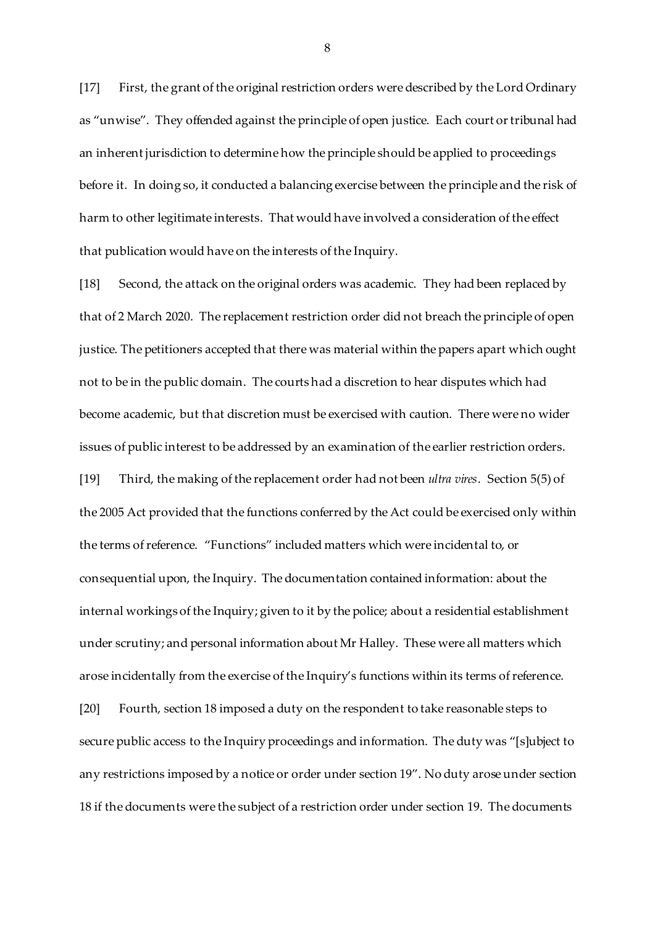[17] First, the grant of the original restriction orders were described by the Lord Ordinary as "unwise". They offended against the principle of open justice. Each court or tribunal had an inherent jurisdiction to determine how the principle should be applied to proceedings before it. In doing so, it conducted a balancing exercise between the principle and the risk of harm to other legitimate interests. That would have involved a consideration of the effect that publication would have on the interests of the Inquiry.

[18] Second, the attack on the original orders was academic. They had been replaced by that of 2 March 2020. The replacement restriction order did not breach the principle of open justice. The petitioners accepted that there was material within the papers apart which ought not to be in the public domain. The courts had a discretion to hear disputes which had become academic, but that discretion must be exercised with caution. There were no wider issues of public interest to be addressed by an examination of the earlier restriction orders. [19] Third, the making of the replacement order had not been *ultra vires*. Section 5(5) of the 2005 Act provided that the functions conferred by the Act could be exercised only within the terms of reference. "Functions" included matters which were incidental to, or consequential upon, the Inquiry. The documentation contained information: about the internal workings of the Inquiry; given to it by the police; about a residential establishment under scrutiny; and personal information about Mr Halley. These were all matters which arose incidentally from the exercise of the Inquiry's functions within its terms of reference. [20] Fourth, section 18 imposed a duty on the respondent to take reasonable steps to secure public access to the Inquiry proceedings and information. The duty was "[s]ubject to any restrictions imposed by a notice or order under section 19". No duty arose under section 18 if the documents were the subject of a restriction order under section 19. The documents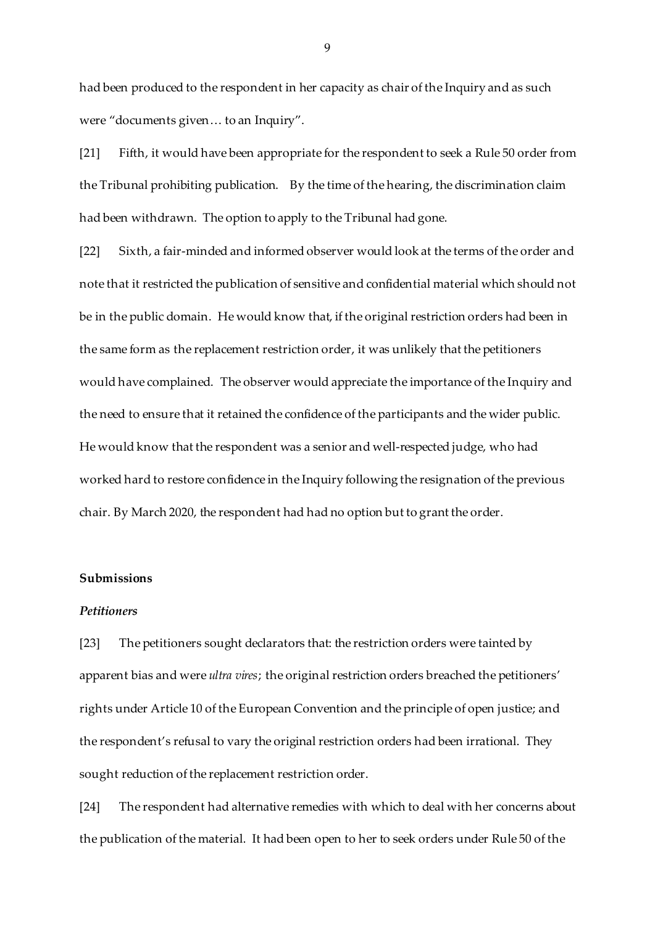had been produced to the respondent in her capacity as chair of the Inquiry and as such were "documents given… to an Inquiry".

[21] Fifth, it would have been appropriate for the respondent to seek a Rule 50 order from the Tribunal prohibiting publication. By the time of the hearing, the discrimination claim had been withdrawn. The option to apply to the Tribunal had gone.

[22] Sixth, a fair-minded and informed observer would look at the terms of the order and note that it restricted the publication of sensitive and confidential material which should not be in the public domain. He would know that, if the original restriction orders had been in the same form as the replacement restriction order, it was unlikely that the petitioners would have complained. The observer would appreciate the importance of the Inquiry and the need to ensure that it retained the confidence of the participants and the wider public. He would know that the respondent was a senior and well-respected judge, who had worked hard to restore confidence in the Inquiry following the resignation of the previous chair. By March 2020, the respondent had had no option but to grant the order.

### **Submissions**

#### *Petitioners*

[23] The petitioners sought declarators that: the restriction orders were tainted by apparent bias and were *ultra vires*; the original restriction orders breached the petitioners' rights under Article 10 of the European Convention and the principle of open justice; and the respondent's refusal to vary the original restriction orders had been irrational. They sought reduction of the replacement restriction order.

[24] The respondent had alternative remedies with which to deal with her concerns about the publication of the material. It had been open to her to seek orders under Rule 50 of the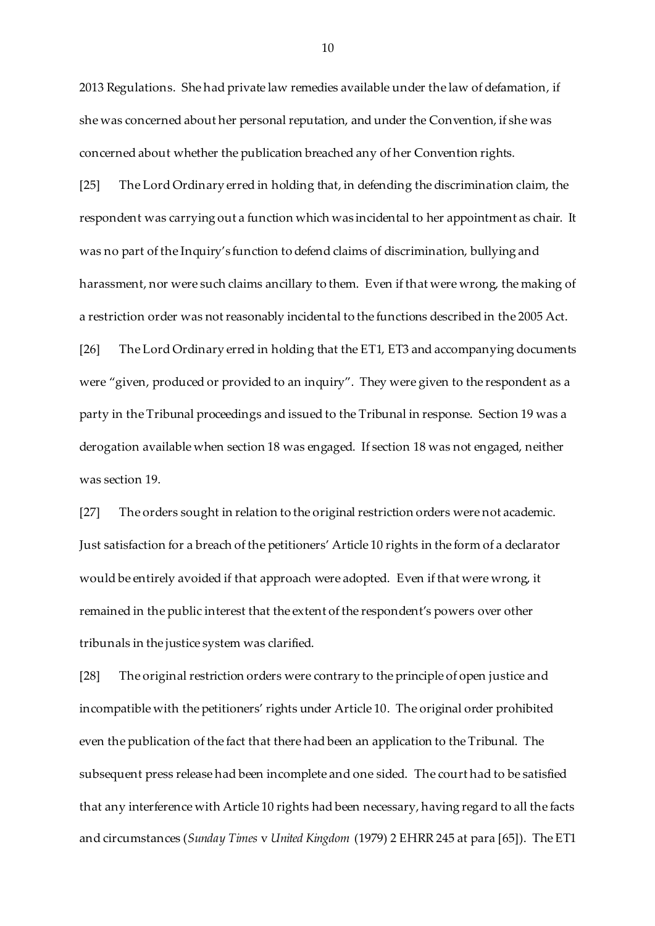2013 Regulations. She had private law remedies available under the law of defamation, if she was concerned about her personal reputation, and under the Convention, if she was concerned about whether the publication breached any of her Convention rights.

[25] The Lord Ordinary erred in holding that, in defending the discrimination claim, the respondent was carrying out a function which was incidental to her appointment as chair. It was no part of the Inquiry's function to defend claims of discrimination, bullying and harassment, nor were such claims ancillary to them. Even if that were wrong, the making of a restriction order was not reasonably incidental to the functions described in the 2005 Act. [26] The Lord Ordinary erred in holding that the ET1, ET3 and accompanying documents were "given, produced or provided to an inquiry". They were given to the respondent as a party in the Tribunal proceedings and issued to the Tribunal in response. Section 19 was a derogation available when section 18 was engaged. If section 18 was not engaged, neither was section 19.

[27] The orders sought in relation to the original restriction orders were not academic. Just satisfaction for a breach of the petitioners' Article 10 rights in the form of a declarator would be entirely avoided if that approach were adopted. Even if that were wrong, it remained in the public interest that the extent of the respondent's powers over other tribunals in the justice system was clarified.

[28] The original restriction orders were contrary to the principle of open justice and incompatible with the petitioners' rights under Article 10. The original order prohibited even the publication of the fact that there had been an application to the Tribunal. The subsequent press release had been incomplete and one sided. The court had to be satisfied that any interference with Article 10 rights had been necessary, having regard to all the facts and circumstances (*Sunday Times* v *United Kingdom* (1979) 2 EHRR 245 at para [65]). The ET1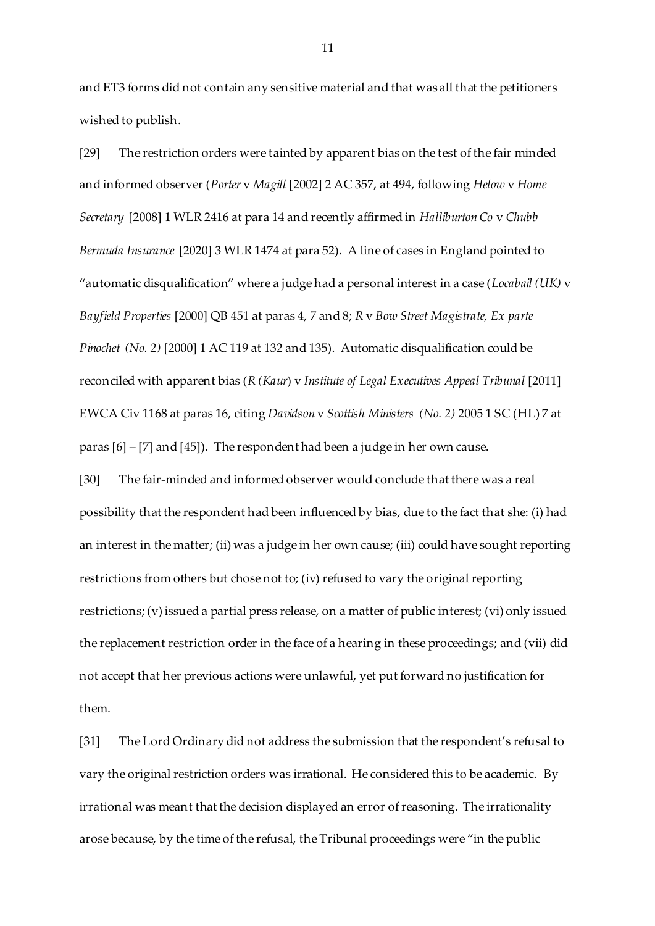and ET3 forms did not contain any sensitive material and that was all that the petitioners wished to publish.

[29] The restriction orders were tainted by apparent bias on the test of the fair minded and informed observer (*Porter* v *Magill* [2002] 2 AC 357, at 494, following *Helow* v *Home Secretary* [2008] 1 WLR 2416 at para 14 and recently affirmed in *Halliburton Co* v *Chubb Bermuda Insurance* [2020] 3 WLR 1474 at para 52). A line of cases in England pointed to "automatic disqualification" where a judge had a personal interest in a case (*Locabail (UK)* v *Bayfield Properties* [2000] QB 451 at paras 4, 7 and 8; *R* v *Bow Street Magistrate, Ex parte Pinochet (No. 2)* [2000] 1 AC 119 at 132 and 135). Automatic disqualification could be reconciled with apparent bias (*R (Kaur*) v *Institute of Legal Executives Appeal Tribunal* [2011] EWCA Civ 1168 at paras 16, citing *Davidson* v *Scottish Ministers (No. 2)* 2005 1 SC (HL) 7 at paras [6] – [7] and [45]). The respondent had been a judge in her own cause.

[30] The fair-minded and informed observer would conclude that there was a real possibility that the respondent had been influenced by bias, due to the fact that she: (i) had an interest in the matter; (ii) was a judge in her own cause; (iii) could have sought reporting restrictions from others but chose not to; (iv) refused to vary the original reporting restrictions; (v) issued a partial press release, on a matter of public interest; (vi) only issued the replacement restriction order in the face of a hearing in these proceedings; and (vii) did not accept that her previous actions were unlawful, yet put forward no justification for them.

[31] The Lord Ordinary did not address the submission that the respondent's refusal to vary the original restriction orders was irrational. He considered this to be academic. By irrational was meant that the decision displayed an error of reasoning. The irrationality arose because, by the time of the refusal, the Tribunal proceedings were "in the public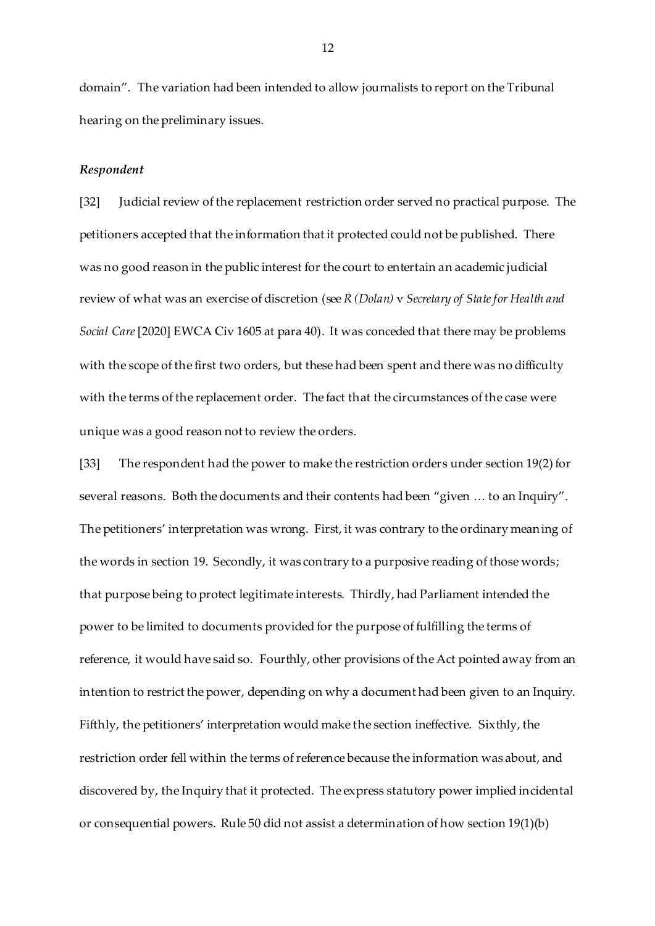domain". The variation had been intended to allow journalists to report on the Tribunal hearing on the preliminary issues.

#### *Respondent*

[32] Judicial review of the replacement restriction order served no practical purpose. The petitioners accepted that the information that it protected could not be published. There was no good reason in the public interest for the court to entertain an academic judicial review of what was an exercise of discretion (see *R (Dolan)* v *Secretary of State for Health and Social Care*[2020] EWCA Civ 1605 at para 40). It was conceded that there may be problems with the scope of the first two orders, but these had been spent and there was no difficulty with the terms of the replacement order. The fact that the circumstances of the case were unique was a good reason not to review the orders.

[33] The respondent had the power to make the restriction orders under section 19(2) for several reasons. Both the documents and their contents had been "given … to an Inquiry". The petitioners' interpretation was wrong. First, it was contrary to the ordinary meaning of the words in section 19. Secondly, it was contrary to a purposive reading of those words; that purpose being to protect legitimate interests. Thirdly, had Parliament intended the power to be limited to documents provided for the purpose of fulfilling the terms of reference, it would have said so. Fourthly, other provisions of the Act pointed away from an intention to restrict the power, depending on why a document had been given to an Inquiry. Fifthly, the petitioners' interpretation would make the section ineffective. Sixthly, the restriction order fell within the terms of reference because the information was about, and discovered by, the Inquiry that it protected. The express statutory power implied incidental or consequential powers. Rule 50 did not assist a determination of how section 19(1)(b)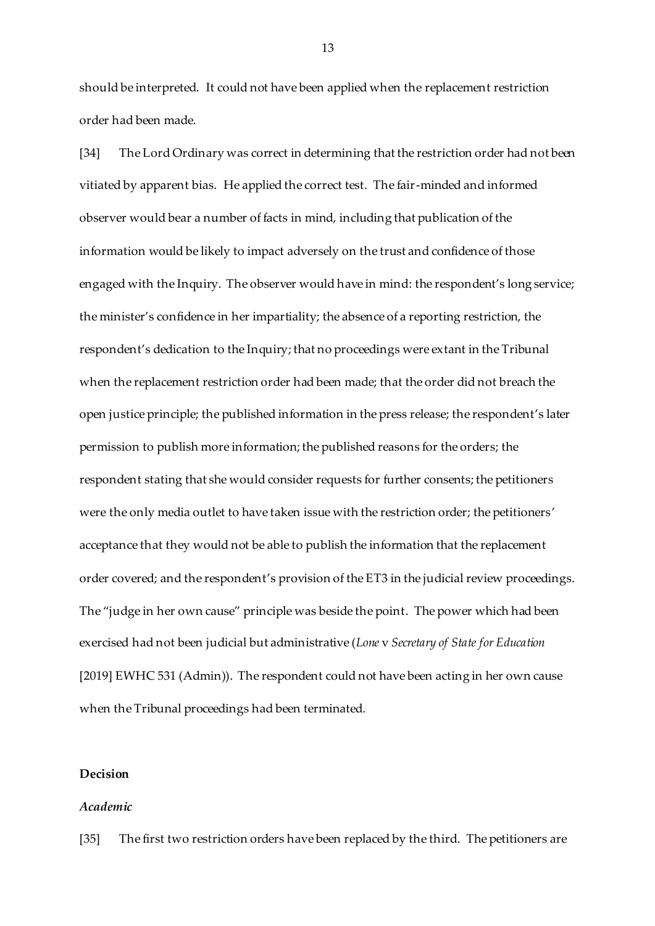should be interpreted. It could not have been applied when the replacement restriction order had been made.

[34] The Lord Ordinary was correct in determining that the restriction order had not been vitiated by apparent bias. He applied the correct test. The fair-minded and informed observer would bear a number of facts in mind, including that publication of the information would be likely to impact adversely on the trust and confidence of those engaged with the Inquiry. The observer would have in mind: the respondent's long service; the minister's confidence in her impartiality; the absence of a reporting restriction, the respondent's dedication to the Inquiry; that no proceedings were extant in the Tribunal when the replacement restriction order had been made; that the order did not breach the open justice principle; the published information in the press release; the respondent's later permission to publish more information; the published reasons for the orders; the respondent stating that she would consider requests for further consents; the petitioners were the only media outlet to have taken issue with the restriction order; the petitioners' acceptance that they would not be able to publish the information that the replacement order covered; and the respondent's provision of the ET3 in the judicial review proceedings. The "judge in her own cause" principle was beside the point. The power which had been exercised had not been judicial but administrative (*Lone* v *Secretary of State for Education* [2019] EWHC 531 (Admin)). The respondent could not have been acting in her own cause when the Tribunal proceedings had been terminated.

# **Decision**

### *Academic*

[35] The first two restriction orders have been replaced by the third. The petitioners are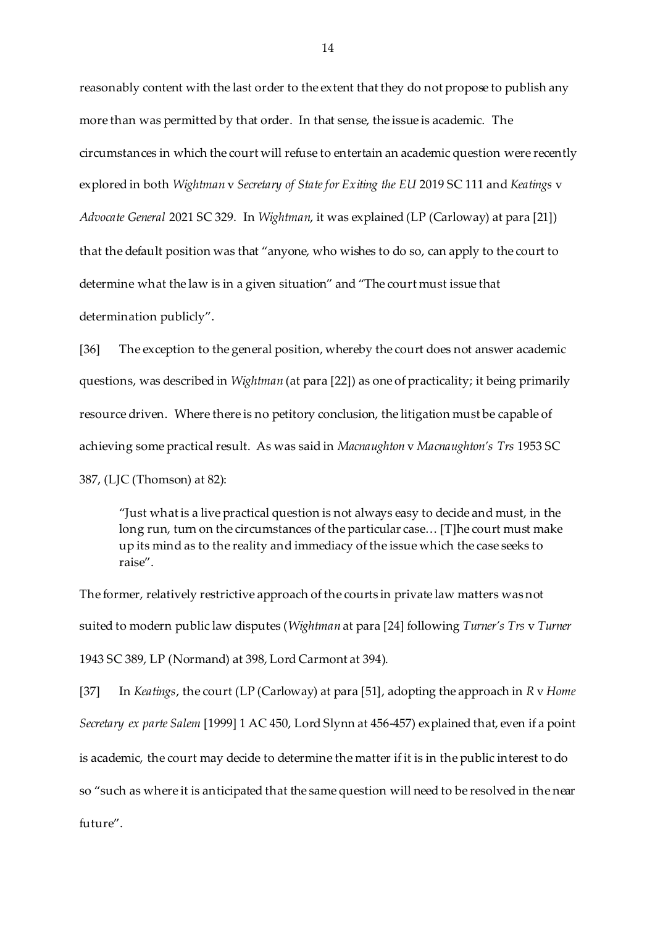reasonably content with the last order to the extent that they do not propose to publish any more than was permitted by that order. In that sense, the issue is academic. The circumstances in which the court will refuse to entertain an academic question were recently explored in both *Wightman* v *Secretary of State for Exiting the EU* 2019 SC 111 and *Keatings* v *Advocate General* 2021 SC 329. In *Wightman*, it was explained (LP (Carloway) at para [21]) that the default position was that "anyone, who wishes to do so, can apply to the court to determine what the law is in a given situation" and "The court must issue that determination publicly".

[36] The exception to the general position, whereby the court does not answer academic questions, was described in *Wightman* (at para [22]) as one of practicality; it being primarily resource driven. Where there is no petitory conclusion, the litigation must be capable of achieving some practical result. As was said in *Macnaughton* v *Macnaughton's Trs* 1953 SC 387, (LJC (Thomson) at 82):

"Just what is a live practical question is not always easy to decide and must, in the long run, turn on the circumstances of the particular case… [T]he court must make up its mind as to the reality and immediacy of the issue which the case seeks to raise".

The former, relatively restrictive approach of the courts in private law matters was not suited to modern public law disputes (*Wightman* at para [24] following *Turner's Trs* v *Turner* 1943 SC 389, LP (Normand) at 398, Lord Carmont at 394).

[37] In *Keatings*, the court (LP (Carloway) at para [51], adopting the approach in *R* v *Home Secretary ex parte Salem* [1999] 1 AC 450, Lord Slynn at 456-457) explained that, even if a point is academic, the court may decide to determine the matter if it is in the public interest to do so "such as where it is anticipated that the same question will need to be resolved in the near future".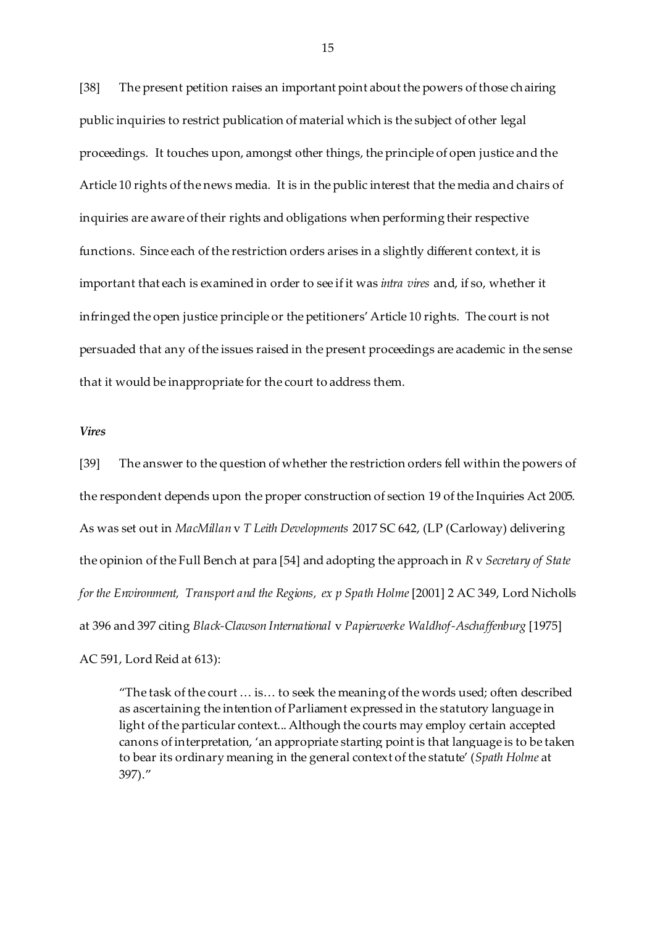[38] The present petition raises an important point about the powers of those chairing public inquiries to restrict publication of material which is the subject of other legal proceedings. It touches upon, amongst other things, the principle of open justice and the Article 10 rights of the news media. It is in the public interest that the media and chairs of inquiries are aware of their rights and obligations when performing their respective functions. Since each of the restriction orders arises in a slightly different context, it is important that each is examined in order to see if it was *intra vires* and, if so, whether it infringed the open justice principle or the petitioners' Article 10 rights. The court is not persuaded that any of the issues raised in the present proceedings are academic in the sense that it would be inappropriate for the court to address them.

#### *Vires*

[39] The answer to the question of whether the restriction orders fell within the powers of the respondent depends upon the proper construction of section 19 of the Inquiries Act 2005. As was set out in *MacMillan* v *T Leith Developments* 2017 SC 642, (LP (Carloway) delivering the opinion of the Full Bench at para [54] and adopting the approach in *R* v *Secretary of State forthe Environment, Transport and the Regions, ex p Spath Holme*[2001] 2 AC 349, Lord Nicholls at 396 and 397 citing *Black-Clawson International* v *Papierwerke Waldhof-Aschaffenburg* [1975]

AC 591, Lord Reid at 613):

"The task of the court … is… to seek the meaning of the words used; often described as ascertaining the intention of Parliament expressed in the statutory language in light of the particular context... Although the courts may employ certain accepted canons of interpretation, 'an appropriate starting point is that language is to be taken to bear its ordinary meaning in the general context of the statute' (*Spath Holme* at 397)."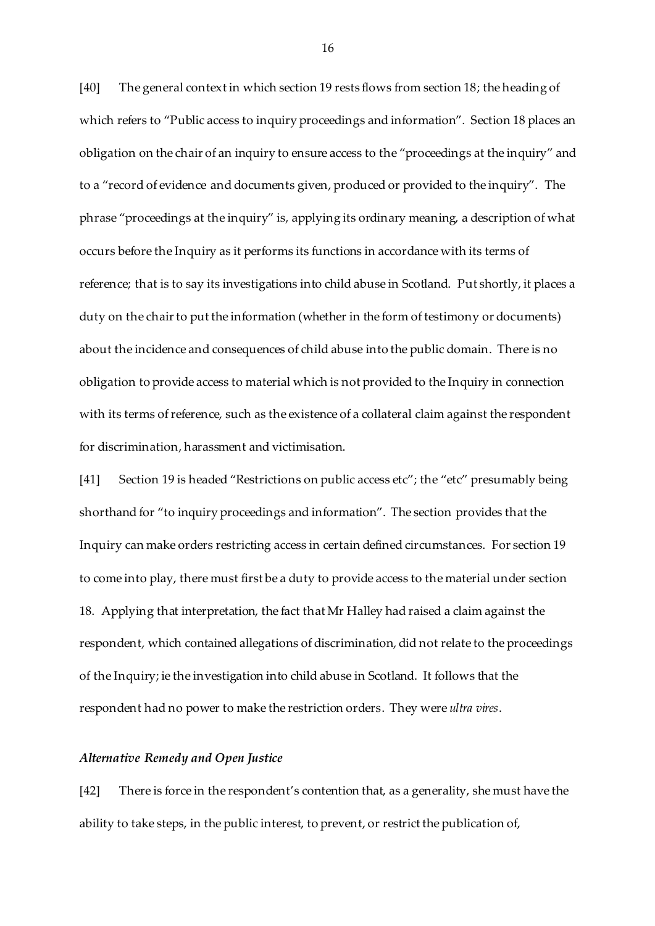[40] The general context in which section 19 rests flows from section 18; the heading of which refers to "Public access to inquiry proceedings and information". Section 18 places an obligation on the chair of an inquiry to ensure access to the "proceedings at the inquiry" and to a "record of evidence and documents given, produced or provided to the inquiry". The phrase "proceedings at the inquiry" is, applying its ordinary meaning, a description of what occurs before the Inquiry as it performs its functions in accordance with its terms of reference; that is to say its investigations into child abuse in Scotland. Put shortly, it places a duty on the chair to put the information (whether in the form of testimony or documents) about the incidence and consequences of child abuse into the public domain. There is no obligation to provide access to material which is not provided to the Inquiry in connection with its terms of reference, such as the existence of a collateral claim against the respondent for discrimination, harassment and victimisation.

[41] Section 19 is headed "Restrictions on public access etc"; the "etc" presumably being shorthand for "to inquiry proceedings and information". The section provides that the Inquiry can make orders restricting access in certain defined circumstances. For section 19 to come into play, there must first be a duty to provide access to the material under section 18. Applying that interpretation, the fact that Mr Halley had raised a claim against the respondent, which contained allegations of discrimination, did not relate to the proceedings of the Inquiry; ie the investigation into child abuse in Scotland. It follows that the respondent had no power to make the restriction orders. They were *ultra vires*.

#### *Alternative Remedy and Open Justice*

[42] There is force in the respondent's contention that, as a generality, she must have the ability to take steps, in the public interest, to prevent, or restrict the publication of,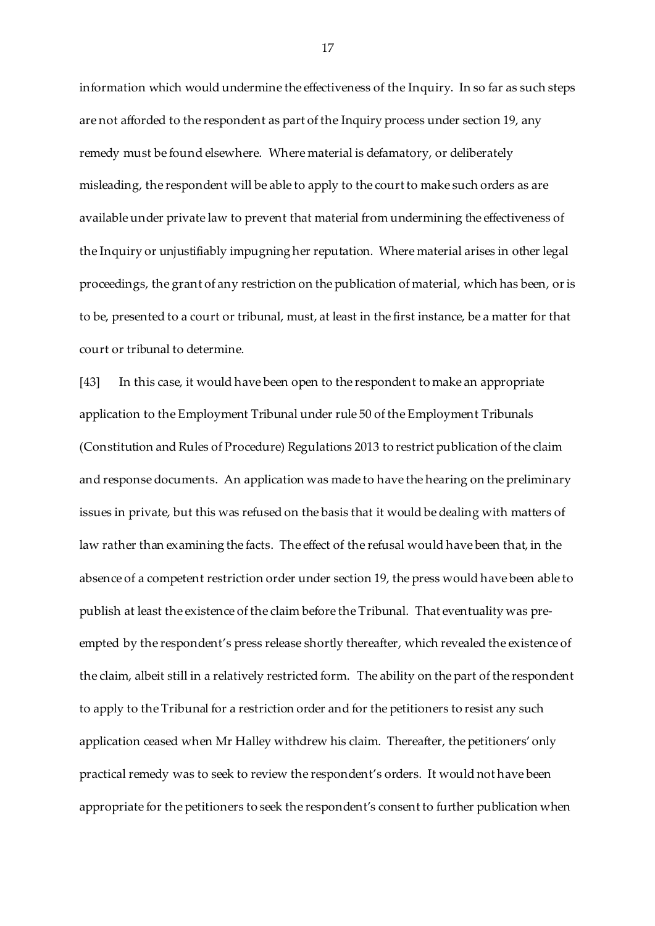information which would undermine the effectiveness of the Inquiry. In so far as such steps are not afforded to the respondent as part of the Inquiry process under section 19, any remedy must be found elsewhere. Where material is defamatory, or deliberately misleading, the respondent will be able to apply to the court to make such orders as are available under private law to prevent that material from undermining the effectiveness of the Inquiry or unjustifiably impugning her reputation. Where material arises in other legal proceedings, the grant of any restriction on the publication of material, which has been, or is to be, presented to a court or tribunal, must, at least in the first instance, be a matter for that court or tribunal to determine.

[43] In this case, it would have been open to the respondent to make an appropriate application to the Employment Tribunal under rule 50 of the Employment Tribunals (Constitution and Rules of Procedure) Regulations 2013 to restrict publication of the claim and response documents. An application was made to have the hearing on the preliminary issues in private, but this was refused on the basis that it would be dealing with matters of law rather than examining the facts. The effect of the refusal would have been that, in the absence of a competent restriction order under section 19, the press would have been able to publish at least the existence of the claim before the Tribunal. That eventuality was preempted by the respondent's press release shortly thereafter, which revealed the existence of the claim, albeit still in a relatively restricted form. The ability on the part of the respondent to apply to the Tribunal for a restriction order and for the petitioners to resist any such application ceased when Mr Halley withdrew his claim. Thereafter, the petitioners' only practical remedy was to seek to review the respondent's orders. It would not have been appropriate for the petitioners to seek the respondent's consent to further publication when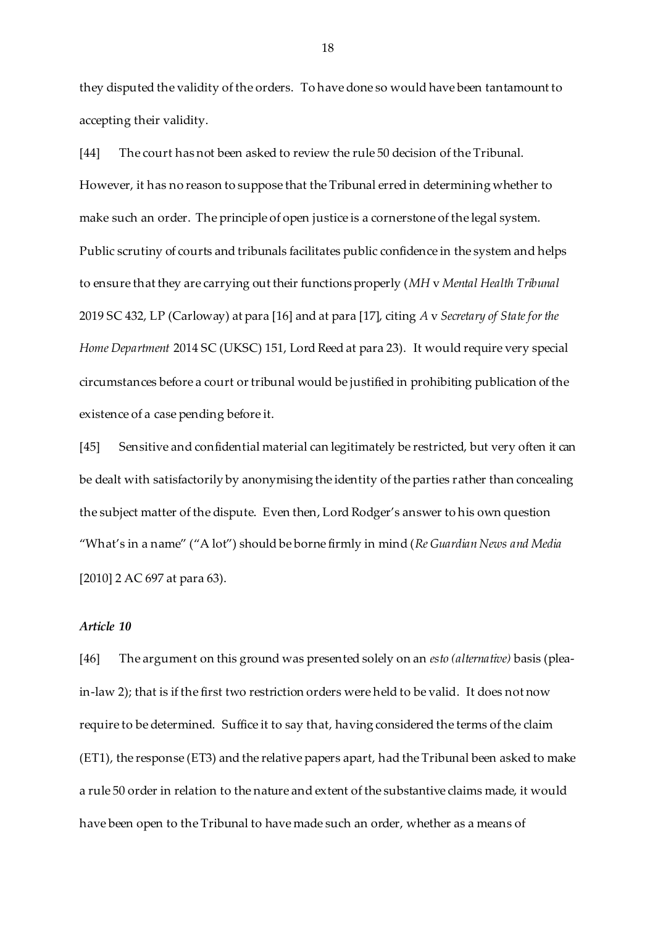they disputed the validity of the orders. To have done so would have been tantamount to accepting their validity.

[44] The court has not been asked to review the rule 50 decision of the Tribunal. However, it has no reason to suppose that the Tribunal erred in determining whether to make such an order. The principle of open justice is a cornerstone of the legal system. Public scrutiny of courts and tribunals facilitates public confidence in the system and helps to ensure that they are carrying out their functions properly (*MH* v *Mental Health Tribunal* 2019 SC 432, LP (Carloway) at para [16] and at para [17], citing *A* v *Secretary of State for the Home Department* 2014 SC (UKSC) 151, Lord Reed at para 23). It would require very special circumstances before a court or tribunal would be justified in prohibiting publication of the existence of a case pending before it.

[45] Sensitive and confidential material can legitimately be restricted, but very often it can be dealt with satisfactorily by anonymising the identity of the parties rather than concealing the subject matter of the dispute. Even then, Lord Rodger's answer to his own question "What's in a name" ("A lot") should be borne firmly in mind (*Re Guardian News and Media* [2010] 2 AC 697 at para 63).

#### *Article 10*

[46] The argument on this ground was presented solely on an *esto (alternative)* basis (pleain-law 2); that is if the first two restriction orders were held to be valid. It does not now require to be determined. Suffice it to say that, having considered the terms of the claim (ET1), the response (ET3) and the relative papers apart, had the Tribunal been asked to make a rule 50 order in relation to the nature and extent of the substantive claims made, it would have been open to the Tribunal to have made such an order, whether as a means of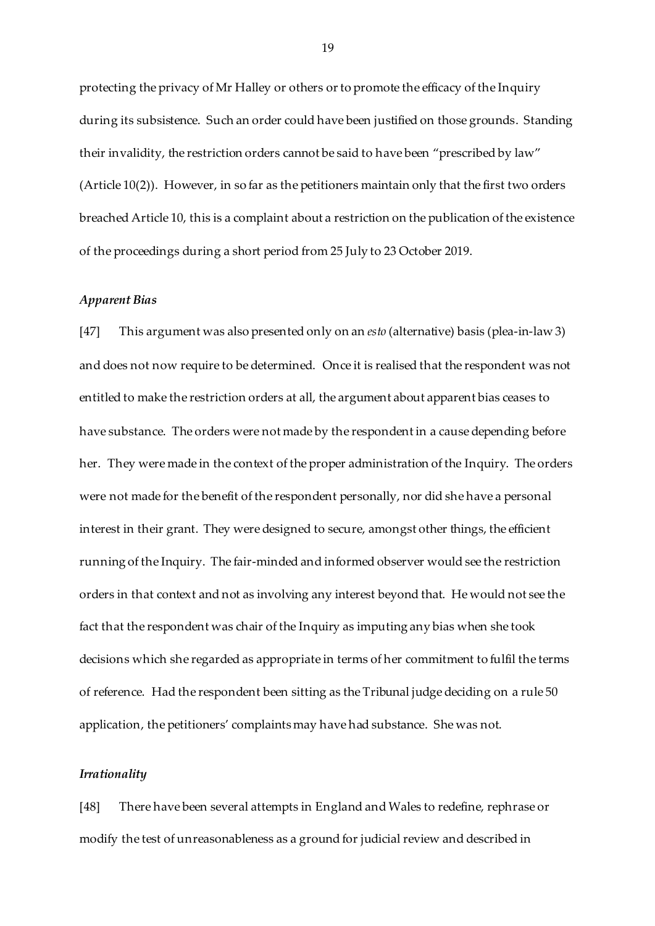protecting the privacy of Mr Halley or others or to promote the efficacy of the Inquiry during its subsistence. Such an order could have been justified on those grounds. Standing their invalidity, the restriction orders cannot be said to have been "prescribed by law" (Article 10(2)). However, in so far as the petitioners maintain only that the first two orders breached Article 10, this is a complaint about a restriction on the publication of the existence of the proceedings during a short period from 25 July to 23 October 2019.

#### *Apparent Bias*

[47] This argument was also presented only on an *esto* (alternative) basis (plea-in-law 3) and does not now require to be determined. Once it is realised that the respondent was not entitled to make the restriction orders at all, the argument about apparent bias ceases to have substance. The orders were not made by the respondent in a cause depending before her. They were made in the context of the proper administration of the Inquiry. The orders were not made for the benefit of the respondent personally, nor did she have a personal interest in their grant. They were designed to secure, amongst other things, the efficient running of the Inquiry. The fair-minded and informed observer would see the restriction orders in that context and not as involving any interest beyond that. He would not see the fact that the respondent was chair of the Inquiry as imputing any bias when she took decisions which she regarded as appropriate in terms of her commitment to fulfil the terms of reference. Had the respondent been sitting as the Tribunal judge deciding on a rule 50 application, the petitioners' complaints may have had substance. She was not.

### *Irrationality*

[48] There have been several attempts in England and Wales to redefine, rephrase or modify the test of unreasonableness as a ground for judicial review and described in